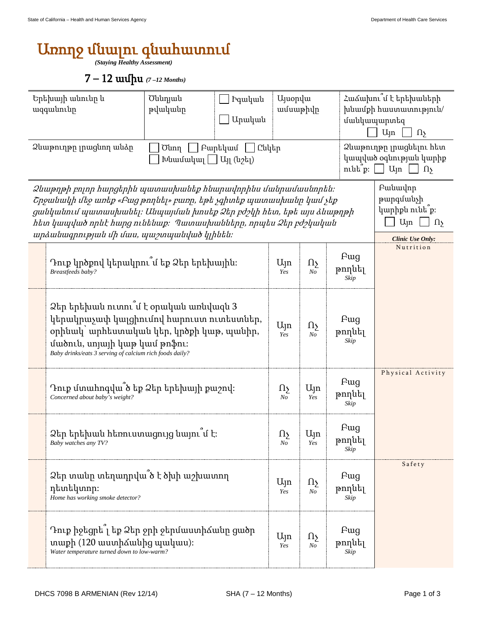## Առողջ մնալու գնահատում

*(Staying Healthy Assessment)* 

7 – 12 ամիս *(7 –12 Months)* 

| Երեխայի անունը և<br>ազգանունը<br>Ձևաթուղթը լրացնող անձր                                                                                                                                                                                                                                                         |                                                                                                                                                                                                                            | Ծննդյան<br><b>Pquluu</b> u<br>թվականը<br>Արական<br>  Բարեկամ<br>    Ընկեր<br>Ծնող<br>$\lceil \frac{1}{2} \ln \left( \frac{1}{2} \ln \left( \frac{1}{2} \ln \right) \right) \rceil$ |  | <b>U</b> juopyu<br>ամսաթիվը |                                     |                               | Հաձախու՞մ է երեխաների<br>խնամքի հաստատություն/<br>մանկապարտեզ<br>U <sub>Jn</sub><br>$\Omega$<br>Ձևաթուղթը լրացնելու հետ<br>կապված օգնության կարիք<br>$\min[p: \bigsqcup U_{\text{in}}]$<br>$\Omega$ |  |
|-----------------------------------------------------------------------------------------------------------------------------------------------------------------------------------------------------------------------------------------------------------------------------------------------------------------|----------------------------------------------------------------------------------------------------------------------------------------------------------------------------------------------------------------------------|------------------------------------------------------------------------------------------------------------------------------------------------------------------------------------|--|-----------------------------|-------------------------------------|-------------------------------|-----------------------------------------------------------------------------------------------------------------------------------------------------------------------------------------------------|--|
| 2 ևաթղթի բոլոր հարցերին պատասխանեք հնարավորինս մանրամասնորեն։<br>Շրջանակի մեջ առեք «Բաց թողնել» բառը, եթե չգիտեք պատասխանը կամ չեք<br>ցանկանում պատասխանել։ Անպայման խոսեք Ձեր բժշկի հետ, եթե այս ձևաթղթի<br>hետ կապված որևէ hարց ունենաք։ Պատասխանները, որպես Ձեր բժշկական<br>wpawuwqpnipjwu uh uwu, wwomwwudu |                                                                                                                                                                                                                            |                                                                                                                                                                                    |  |                             |                                     |                               | Pwuwulnp<br>թարգմանչի<br>կարիքն ունե՞ք։<br>U <sub>Jn</sub><br>$\Omega$<br><b>Clinic Use Only:</b>                                                                                                   |  |
|                                                                                                                                                                                                                                                                                                                 | Դուք կրծքով կերակրու՞մ եք Ձեր երեխային։<br>Breastfeeds baby?                                                                                                                                                               |                                                                                                                                                                                    |  |                             | Ωş<br>N <sub>O</sub>                | Fwg<br>թողնել<br>Skip         | Nutrition                                                                                                                                                                                           |  |
|                                                                                                                                                                                                                                                                                                                 | Ձեր երեխան ուտու՞մ է օրական առնվազն 3<br>կերակրաչափ կալցիումով հարուստ ուտեստներ,<br>օրինակ՝ արհեստական կեր, կրծքի կաթ, պանիր,<br>մածուն, սոյայի կաթ կամ թոֆու։<br>Baby drinks/eats 3 serving of calcium rich foods daily? |                                                                                                                                                                                    |  |                             | Ωş<br>$\it No$                      | Pwg<br>թողնել<br>Skip         |                                                                                                                                                                                                     |  |
|                                                                                                                                                                                                                                                                                                                 | Դուք մտահոգվա՞ծ եք Ձեր երեխայի քաշով։<br>Concerned about baby's weight?                                                                                                                                                    |                                                                                                                                                                                    |  |                             | Ujn<br>Yes                          | <b>F</b> ug<br>թողնել<br>Skip | Physical Activity                                                                                                                                                                                   |  |
|                                                                                                                                                                                                                                                                                                                 | Ձեր երեխան հեռուստացույց նայու՞մ է։<br>Baby watches any TV?                                                                                                                                                                |                                                                                                                                                                                    |  |                             | Ujn<br>res                          | Fwg<br>թողնել<br>Skip         |                                                                                                                                                                                                     |  |
|                                                                                                                                                                                                                                                                                                                 | Ձեր տանը տեղադրվա՞ծ է ծխի աշխատող<br>դետեկտոր։<br>Home has working smoke detector?                                                                                                                                         |                                                                                                                                                                                    |  |                             | $\Omega_{\Sigma}$<br>N <sub>O</sub> | Fwg<br>թողնել<br>Skip         | Safety                                                                                                                                                                                              |  |
|                                                                                                                                                                                                                                                                                                                 | Դուք իջեցրե՞լ եք Ձեր ջրի ջերմաստիձանը ցածր<br>տաքի (120 աստիձանից պակաս):<br>Water temperature turned down to low-warm?                                                                                                    |                                                                                                                                                                                    |  | Ujn<br>Yes                  | Ωş<br>No                            | <b>F</b> ug<br>թողնել<br>Skip |                                                                                                                                                                                                     |  |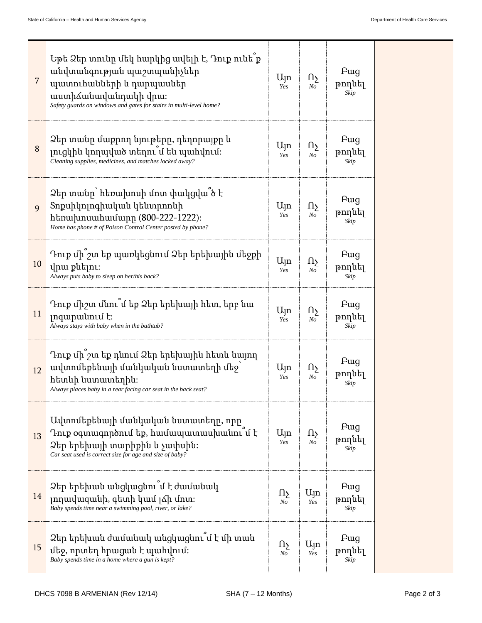| 7  | Եթե Ձեր տունը մեկ հարկից ավելի է, Դուք ունե՞ք<br>անվտանգության պաշտպանիչներ<br>պատուհանների և դարպասներ<br>աստիձանավանդակի վրա։<br>Safety guards on windows and gates for stairs in multi-level home? | $U_{\parallel}$ n<br>Yes | Ωչ<br>No                 | Fwg<br>թողնել<br>Skip |
|----|-------------------------------------------------------------------------------------------------------------------------------------------------------------------------------------------------------|--------------------------|--------------------------|-----------------------|
| 8  | Ձեր տանը մաքրող նյութերը, դեղորայքը և<br>լուցկին կողպված տեղու՞մ են պահվում։<br>Cleaning supplies, medicines, and matches locked away?                                                                | $U_{\parallel}$ n<br>Yes | Ωş<br>No                 | Fwg<br>թողնել<br>Skip |
| 9  | Ձեր տանը` հեռախոսի մոտ փակցվա՞ծ է<br>Տոքսիկոլոգիական կենտրոոնի<br>htnuhnuuhuuunn (800-222-1222):<br>Home has phone # of Poison Control Center posted by phone?                                        | $U_{\parallel}$ n<br>Yes | Ωş<br>No                 | Fwg<br>թողնել<br>Skip |
| 10 | Դուք մի՞շտ եք պառկեցնում Ձեր երեխային մեջքի<br>վրա քնելու։<br>Always puts baby to sleep on her/his back?                                                                                              | $U_{\parallel}$ n<br>Yes | Пy<br>$N_{O}$            | Fwg<br>թողնել<br>Skip |
| 11 | Դուք միշտ մնու՞մ եք Ձեր երեխայի հետ, երբ նա<br>$\mu$<br>Always stays with baby when in the bathtub?                                                                                                   | $U_{\parallel}$ n<br>Yes | Ωş<br>No                 | Fwg<br>թողնել<br>Skip |
| 12 | Դուք մի՞շտ եք դնում Ձեր երեխային հետև նայող<br>ավտոմեքենայի մանկական նստատեղի մեջ<br>հետևի նստատեղին։<br>Always places baby in a rear facing car seat in the back seat?                               |                          | Ωу<br>No                 | Fwg<br>թողնել<br>Skip |
| 13 | Ավտոմեքենայի մանկական նստատեղը, որը<br>Դուք օգտագործում եք, համապատասխանու՞մ է<br>Ձեր երեխայի տարիքին և չափսին։<br>Car seat used is correct size for age and size of baby?                            | Ujn<br>Yes               | 1l5<br>No                | Fwg<br>թողնել<br>Skip |
| 14 | Ձեր երեխան անցկացնու՞մ է ժամանակ<br>լողավազանի, գետի կամ լձի մոտ։<br>Baby spends time near a swimming pool, river, or lake?                                                                           | 118<br>No                | $U_{\text{1}}$<br>Yes    | Fwg<br>թողնել<br>Skip |
| 15 | Ձեր երեխան ժամանակ անցկացնու՞մ է մի տան<br>մեջ, որտեղ հրացան է պահվում։<br>Baby spends time in a home where a gun is kept?                                                                            | 115<br>No                | $U_{\parallel}$ n<br>Yes | Fwg<br>թողնել<br>Skip |